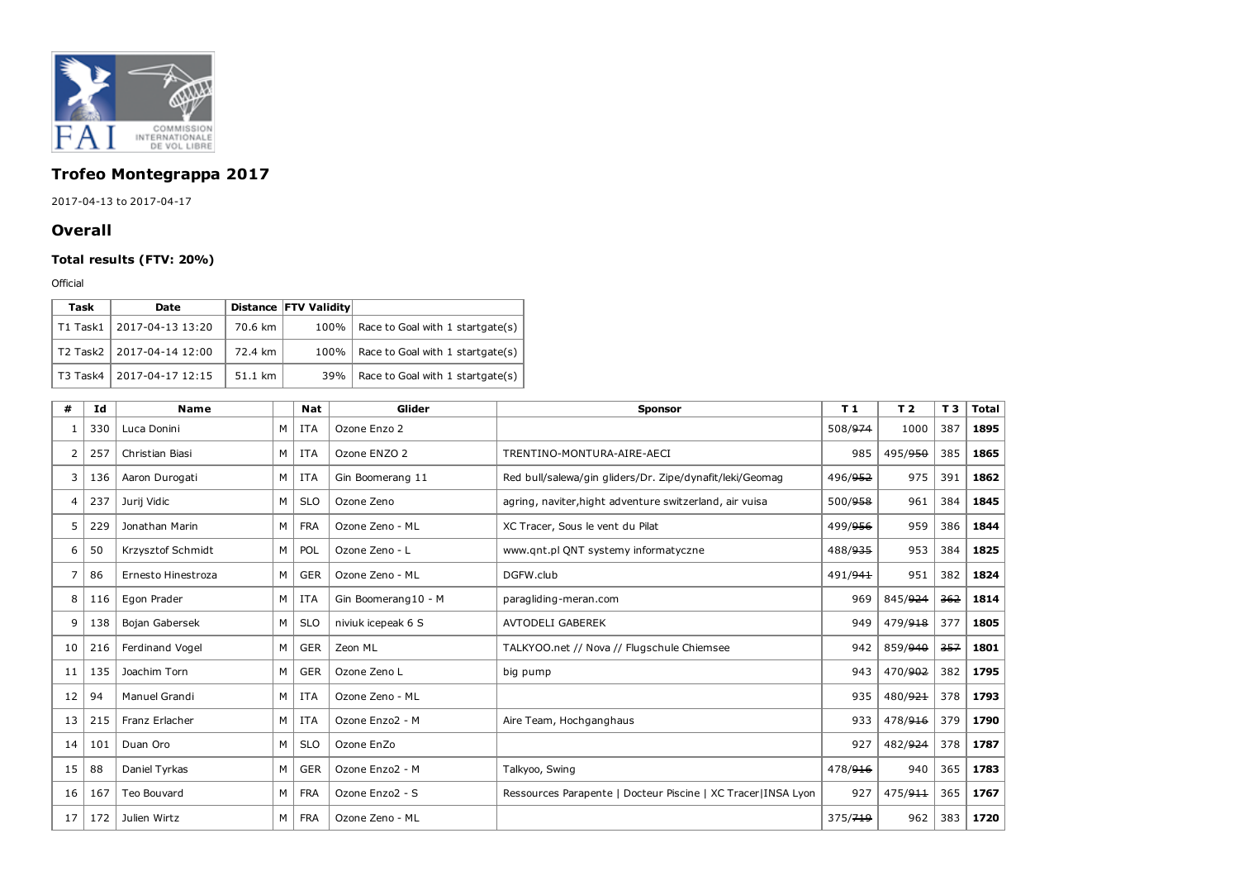

## Trofeo Montegrappa 2017

2017-04-13 to 2017-04-17

## **Overall**

## Total results (FTV: 20%)

Official

| Task     | <b>Date</b>      |         | Distance FTV Validity |                                  |
|----------|------------------|---------|-----------------------|----------------------------------|
| T1 Task1 | 2017-04-13 13:20 | 70.6 km | 100%                  | Race to Goal with 1 startgate(s) |
| T2 Task2 | 2017-04-14 12:00 | 72.4 km | 100%                  | Race to Goal with 1 startgate(s) |
| T3 Task4 | 2017-04-17 12:15 | 51.1 km | 39%                   | Race to Goal with 1 startgate(s) |

| #  | Id  | <b>Name</b>        |                | <b>Nat</b> | Glider              | <b>Sponsor</b>                                                 | T <sub>1</sub> | T <sub>2</sub> | T <sub>3</sub> | <b>Total</b> |
|----|-----|--------------------|----------------|------------|---------------------|----------------------------------------------------------------|----------------|----------------|----------------|--------------|
|    | 330 | Luca Donini        | м              | ITA        | Ozone Enzo 2        |                                                                | 508/974        | 1000           | 387            | 1895         |
| 2  | 257 | Christian Biasi    | M              | <b>ITA</b> | Ozone ENZO 2        | TRENTINO-MONTURA-AIRE-AECI                                     | 985            | 495/950        | 385            | 1865         |
| 3  | 136 | Aaron Durogati     | M I            | ITA        | Gin Boomerang 11    | Red bull/salewa/gin gliders/Dr. Zipe/dynafit/leki/Geomag       | 496/952        | 975            | 391            | 1862         |
| 4  | 237 | Jurij Vidic        | M              | <b>SLO</b> | Ozone Zeno          | agring, naviter, hight adventure switzerland, air vuisa        | 500/958        | 961            | 384            | 1845         |
| 5  | 229 | Jonathan Marin     | M              | <b>FRA</b> | Ozone Zeno - ML     | XC Tracer, Sous le vent du Pilat                               | 499/956        | 959            | 386            | 1844         |
| 6  | 50  | Krzysztof Schmidt  | M              | POL        | Ozone Zeno - L      | www.qnt.pl QNT systemy informatyczne                           | 488/935        | 953            | 384            | 1825         |
|    | 86  | Ernesto Hinestroza | M              | <b>GER</b> | Ozone Zeno - ML     | DGFW.club                                                      | 491/941        | 951            | 382            | 1824         |
| 8  | 116 | Egon Prader        | M <sub>1</sub> | <b>ITA</b> | Gin Boomerang10 - M | paragliding-meran.com                                          | 969            | 845/924        | 362            | 1814         |
| 9  | 138 | Bojan Gabersek     | M              | <b>SLO</b> | niviuk icepeak 6 S  | <b>AVTODELI GABEREK</b>                                        | 949            | 479/918        | 377            | 1805         |
| 10 | 216 | Ferdinand Vogel    | M              | <b>GER</b> | Zeon ML             | TALKYOO.net // Nova // Flugschule Chiemsee                     | 942            | 859/940        | 357            | 1801         |
| 11 | 135 | Joachim Torn       | M              | <b>GER</b> | Ozone Zeno L        | big pump                                                       | 943            | 470/902        | 382            | 1795         |
| 12 | 94  | Manuel Grandi      | M <sub>1</sub> | ITA        | Ozone Zeno - ML     |                                                                | 935            | 480/921        | 378            | 1793         |
| 13 | 215 | Franz Erlacher     | M <sub>1</sub> | <b>ITA</b> | Ozone Enzo2 - M     | Aire Team, Hochganghaus                                        | 933            | 478/916        | 379            | 1790         |
| 14 | 101 | Duan Oro           | M              | <b>SLO</b> | Ozone EnZo          |                                                                | 927            | 482/924        | 378            | 1787         |
| 15 | 88  | Daniel Tyrkas      | M              | <b>GER</b> | Ozone Enzo2 - M     | Talkyoo, Swing                                                 | 478/916        | 940            | 365            | 1783         |
| 16 | 167 | Teo Bouvard        | M              | <b>FRA</b> | Ozone Enzo2 - S     | Ressources Parapente   Docteur Piscine   XC Tracer   INSA Lyon | 927            | 475/911        | 365            | 1767         |
| 17 | 172 | Julien Wirtz       | M              | <b>FRA</b> | Ozone Zeno - ML     |                                                                | 375/719        | 962            | 383            | 1720         |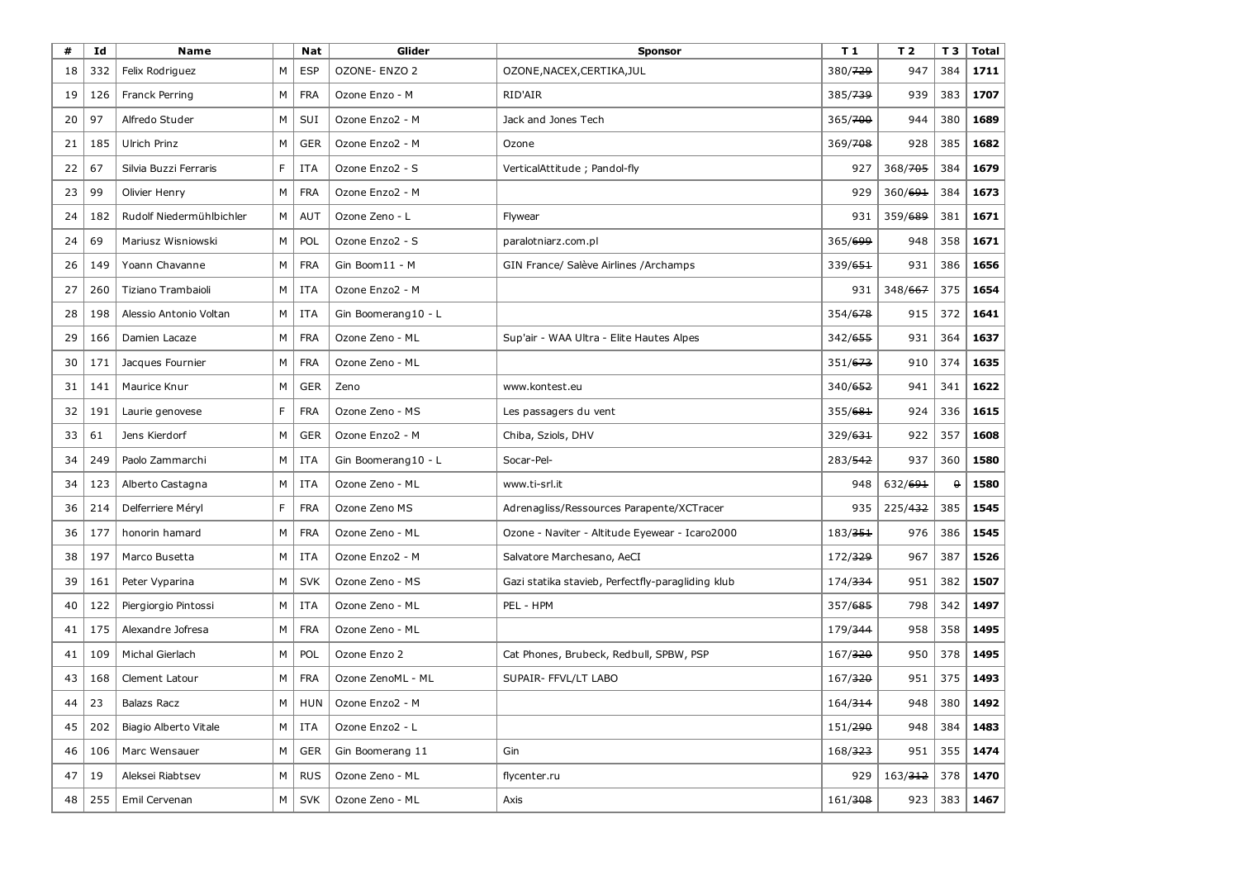| #  | Id  | <b>Name</b>              |    | Nat        | Glider              | <b>Sponsor</b>                                    | T 1                 | T 2                 | T <sub>3</sub> | <b>Total</b> |
|----|-----|--------------------------|----|------------|---------------------|---------------------------------------------------|---------------------|---------------------|----------------|--------------|
| 18 | 332 | Felix Rodriguez          | M  | <b>ESP</b> | OZONE- ENZO 2       | OZONE, NACEX, CERTIKA, JUL                        | 380/729             | 947                 | 384            | 1711         |
| 19 | 126 | Franck Perring           | М  | <b>FRA</b> | Ozone Enzo - M      | RID'AIR                                           | 385/739             | 939                 | 383            | 1707         |
| 20 | 97  | Alfredo Studer           | M  | SUI        | Ozone Enzo2 - M     | Jack and Jones Tech                               | 365/700             | 944                 | 380            | 1689         |
| 21 | 185 | Ulrich Prinz             | M  | GER        | Ozone Enzo2 - M     | Ozone                                             | 369/708             | 928                 | 385            | 1682         |
| 22 | 67  | Silvia Buzzi Ferraris    | F. | <b>ITA</b> | Ozone Enzo2 - S     | VerticalAttitude; Pandol-fly                      | 927                 | 368/705             | 384            | 1679         |
| 23 | 99  | Olivier Henry            | М  | <b>FRA</b> | Ozone Enzo2 - M     |                                                   | 929                 | 360/691             | 384            | 1673         |
| 24 | 182 | Rudolf Niedermühlbichler | М  | AUT        | Ozone Zeno - L      | Flywear                                           | 931                 | 359/ <del>689</del> | 381            | 1671         |
| 24 | 69  | Mariusz Wisniowski       | М  | POL        | Ozone Enzo2 - S     | paralotniarz.com.pl                               | 365/699             | 948                 | 358            | 1671         |
| 26 | 149 | Yoann Chavanne           | м  | <b>FRA</b> | Gin Boom11 - M      | GIN France/ Salève Airlines / Archamps            | 339/651             | 931                 | 386            | 1656         |
| 27 | 260 | Tiziano Trambaioli       | М  | ITA        | Ozone Enzo2 - M     |                                                   | 931                 | 348/667             | 375            | 1654         |
| 28 | 198 | Alessio Antonio Voltan   | М  | ITA        | Gin Boomerang10 - L |                                                   | 354/678             | 915                 | 372            | 1641         |
| 29 | 166 | Damien Lacaze            | м  | <b>FRA</b> | Ozone Zeno - ML     | Sup'air - WAA Ultra - Elite Hautes Alpes          | 342/655             | 931                 | 364            | 1637         |
| 30 | 171 | Jacques Fournier         | м  | <b>FRA</b> | Ozone Zeno - ML     |                                                   | 351/673             | 910                 | 374            | 1635         |
| 31 | 141 | Maurice Knur             | М  | <b>GER</b> | Zeno                | www.kontest.eu                                    | 340/652             | 941                 | 341            | 1622         |
| 32 | 191 | Laurie genovese          | F  | <b>FRA</b> | Ozone Zeno - MS     | Les passagers du vent                             | 355/681             | 924                 | 336            | 1615         |
| 33 | 61  | Jens Kierdorf            | М  | <b>GER</b> | Ozone Enzo2 - M     | Chiba, Sziols, DHV                                | 329/631             | 922                 | 357            | 1608         |
| 34 | 249 | Paolo Zammarchi          | м  | <b>ITA</b> | Gin Boomerang10 - L | Socar-Pel-                                        | 283/542             | 937                 | 360            | 1580         |
| 34 | 123 | Alberto Castagna         | М  | ITA        | Ozone Zeno - ML     | www.ti-srl.it                                     | 948                 | 632/691             | 0              | 1580         |
| 36 | 214 | Delferriere Méryl        | F  | <b>FRA</b> | Ozone Zeno MS       | Adrenagliss/Ressources Parapente/XCTracer         | 935                 | 225/432             | 385            | 1545         |
| 36 | 177 | honorin hamard           | M  | <b>FRA</b> | Ozone Zeno - ML     | Ozone - Naviter - Altitude Eyewear - Icaro2000    | 183/351             | 976                 | 386            | 1545         |
| 38 | 197 | Marco Busetta            | м  | ITA        | Ozone Enzo2 - M     | Salvatore Marchesano, AeCI                        | 172/ <del>329</del> | 967                 | 387            | 1526         |
| 39 | 161 | Peter Vyparina           | М  | <b>SVK</b> | Ozone Zeno - MS     | Gazi statika stavieb, Perfectfly-paragliding klub | 174/334             | 951                 | 382            | 1507         |
| 40 | 122 | Piergiorgio Pintossi     | М  | ITA        | Ozone Zeno - ML     | PEL - HPM                                         | 357/685             | 798                 | 342            | 1497         |
| 41 | 175 | Alexandre Jofresa        | М  | <b>FRA</b> | Ozone Zeno - ML     |                                                   | 179/344             | 958                 | 358            | 1495         |
| 41 | 109 | Michal Gierlach          | м  | POL        | Ozone Enzo 2        | Cat Phones, Brubeck, Redbull, SPBW, PSP           | 167/320             | 950                 | 378            | 1495         |
| 43 | 168 | Clement Latour           | М  | <b>FRA</b> | Ozone ZenoML - ML   | SUPAIR- FFVL/LT LABO                              | 167/320             | 951                 | 375            | 1493         |
| 44 | 23  | <b>Balazs Racz</b>       | M  | HUN        | Ozone Enzo2 - M     |                                                   | 164/314             | 948                 | 380            | 1492         |
| 45 | 202 | Biagio Alberto Vitale    | М  | ITA        | Ozone Enzo2 - L     |                                                   | 151/290             | 948                 | 384            | 1483         |
| 46 | 106 | Marc Wensauer            | М  | <b>GER</b> | Gin Boomerang 11    | Gin                                               | 168/323             | 951                 | 355            | 1474         |
| 47 | 19  | Aleksei Riabtsev         | М  | <b>RUS</b> | Ozone Zeno - ML     | flycenter.ru                                      | 929                 | 163/312             | 378            | 1470         |
| 48 | 255 | Emil Cervenan            | М  | <b>SVK</b> | Ozone Zeno - ML     | Axis                                              | 161/ <del>308</del> | 923                 | $383$          | 1467         |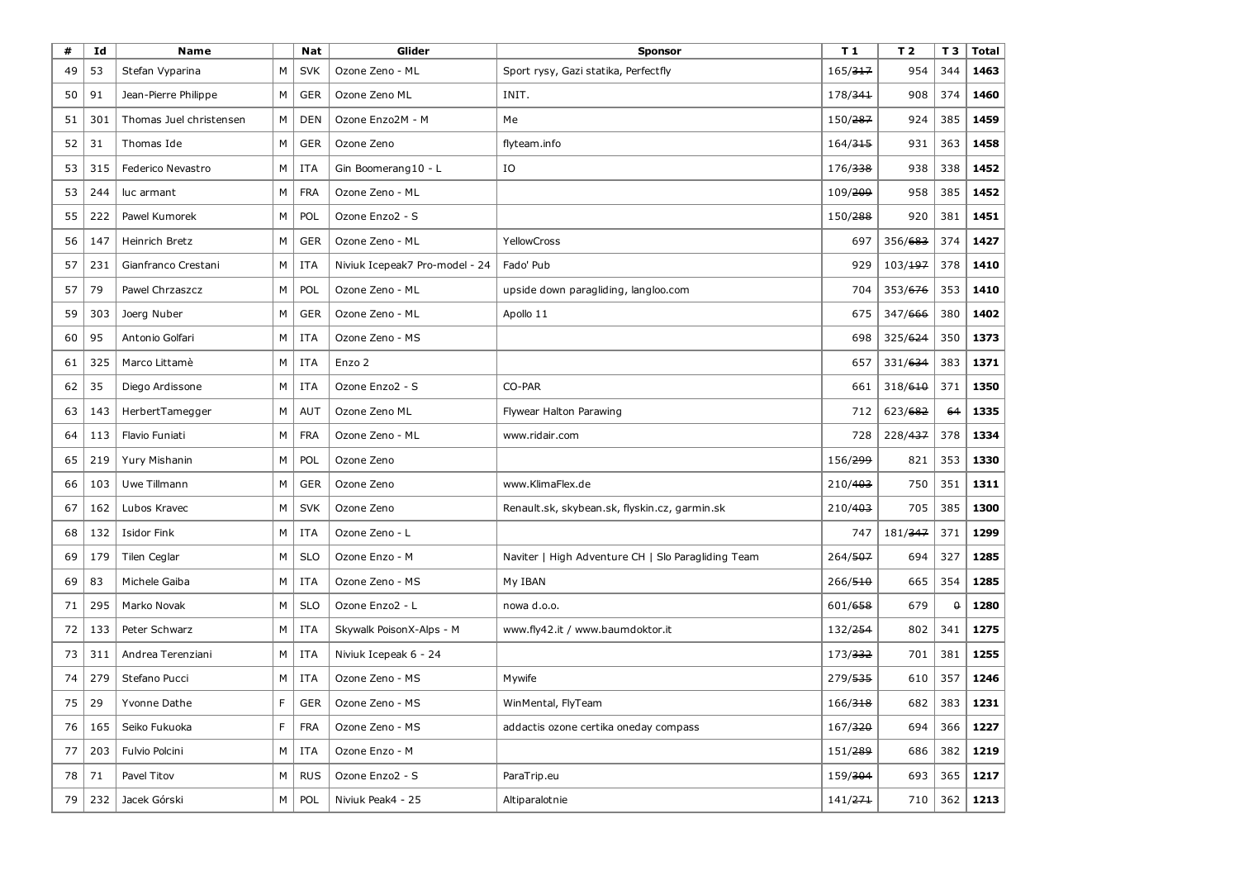| #  | Id  | <b>Name</b>             |    | Nat        | Glider                         | Sponsor                                            | T 1                 | T 2                 | T <sub>3</sub> | <b>Total</b> |
|----|-----|-------------------------|----|------------|--------------------------------|----------------------------------------------------|---------------------|---------------------|----------------|--------------|
| 49 | 53  | Stefan Vyparina         | M  | <b>SVK</b> | Ozone Zeno - ML                | Sport rysy, Gazi statika, Perfectfly               | 165/317             | 954                 | 344            | 1463         |
| 50 | 91  | Jean-Pierre Philippe    | М  | <b>GER</b> | Ozone Zeno ML                  | INIT.                                              | 178/341             | 908                 | 374            | 1460         |
| 51 | 301 | Thomas Juel christensen | М  | <b>DEN</b> | Ozone Enzo2M - M               | Me                                                 | 150/287             | 924                 | 385            | 1459         |
| 52 | 31  | Thomas Ide              | М  | <b>GER</b> | Ozone Zeno                     | flyteam.info                                       | 164/315             | 931                 | 363            | 1458         |
| 53 | 315 | Federico Nevastro       | М  | <b>ITA</b> | Gin Boomerang10 - L            | IO                                                 | 176/ <del>338</del> | 938                 | 338            | 1452         |
| 53 | 244 | luc armant              | М  | <b>FRA</b> | Ozone Zeno - ML                |                                                    | 109/209             | 958                 | 385            | 1452         |
| 55 | 222 | Pawel Kumorek           | М  | POL        | Ozone Enzo2 - S                |                                                    | 150/288             | 920                 | 381            | 1451         |
| 56 | 147 | Heinrich Bretz          | М  | <b>GER</b> | Ozone Zeno - ML                | <b>YellowCross</b>                                 | 697                 | 356/683             | 374            | 1427         |
| 57 | 231 | Gianfranco Crestani     | М  | <b>ITA</b> | Niviuk Icepeak7 Pro-model - 24 | Fado' Pub                                          | 929                 | 103/ <del>197</del> | 378            | 1410         |
| 57 | 79  | Pawel Chrzaszcz         | М  | POL        | Ozone Zeno - ML                | upside down paragliding, langloo.com               | 704                 | 353/676             | 353            | 1410         |
| 59 | 303 | Joerg Nuber             | М  | <b>GER</b> | Ozone Zeno - ML                | Apollo 11                                          | 675                 | 347/666             | 380            | 1402         |
| 60 | 95  | Antonio Golfari         | М  | ITA        | Ozone Zeno - MS                |                                                    | 698                 | 325/624             | 350            | 1373         |
| 61 | 325 | Marco Littamè           | М  | <b>ITA</b> | Enzo 2                         |                                                    | 657                 | 331/ <del>634</del> | 383            | 1371         |
| 62 | 35  | Diego Ardissone         | м  | ITA        | Ozone Enzo2 - S                | CO-PAR                                             | 661                 | 318/610             | 371            | 1350         |
| 63 | 143 | HerbertTamegger         | М  | AUT        | Ozone Zeno ML                  | Flywear Halton Parawing                            | 712                 | 623/682             | 64             | 1335         |
| 64 | 113 | Flavio Funiati          | М  | <b>FRA</b> | Ozone Zeno - ML                | www.ridair.com                                     | 728                 | 228/437             | 378            | 1334         |
| 65 | 219 | Yury Mishanin           | М  | POL        | Ozone Zeno                     |                                                    | 156/299             | 821                 | 353            | 1330         |
| 66 | 103 | Uwe Tillmann            | М  | <b>GER</b> | Ozone Zeno                     | www.KlimaFlex.de                                   | 210/403             | 750                 | 351            | 1311         |
| 67 | 162 | Lubos Kravec            | М  | <b>SVK</b> | Ozone Zeno                     | Renault.sk, skybean.sk, flyskin.cz, garmin.sk      | 210/403             | 705                 | 385            | 1300         |
| 68 | 132 | <b>Isidor Fink</b>      | М  | ITA        | Ozone Zeno - L                 |                                                    | 747                 | 181/347             | 371            | 1299         |
| 69 | 179 | Tilen Ceglar            | М  | <b>SLO</b> | Ozone Enzo - M                 | Naviter   High Adventure CH   Slo Paragliding Team | 264/507             | 694                 | 327            | 1285         |
| 69 | 83  | Michele Gaiba           | м  | ITA        | Ozone Zeno - MS                | My IBAN                                            | 266/510             | 665                 | 354            | 1285         |
| 71 | 295 | Marko Novak             | М  | <b>SLO</b> | Ozone Enzo2 - L                | nowa d.o.o.                                        | 601/658             | 679                 | $\mathbf 0$    | 1280         |
| 72 | 133 | Peter Schwarz           | м  | ITA        | Skywalk PoisonX-Alps - M       | www.fly42.it / www.baumdoktor.it                   | 132/254             | 802                 | 341            | 1275         |
| 73 | 311 | Andrea Terenziani       | М  | ITA        | Niviuk Icepeak 6 - 24          |                                                    | 173/ <del>332</del> | 701                 | 381            | 1255         |
| 74 | 279 | Stefano Pucci           | М  | ITA        | Ozone Zeno - MS                | Mywife                                             | 279/535             | 610                 | 357            | 1246         |
| 75 | 29  | Yvonne Dathe            | F. |            | GER   Ozone Zeno - MS          | WinMental, FlyTeam                                 | 166/318             |                     | $682$ 383      | 1231         |
| 76 | 165 | Seiko Fukuoka           | F. | <b>FRA</b> | Ozone Zeno - MS                | addactis ozone certika oneday compass              | 167/320             | 694                 | 366            | 1227         |
| 77 | 203 | Fulvio Polcini          | М  | ITA        | Ozone Enzo - M                 |                                                    | 151/289             | 686                 | 382            | 1219         |
| 78 | 71  | Pavel Titov             | M  | <b>RUS</b> | Ozone Enzo2 - S                | ParaTrip.eu                                        | 159/304             | 693                 | 365            | 1217         |
| 79 | 232 | Jacek Górski            | М  | POL        | Niviuk Peak4 - 25              | Altiparalotnie                                     | 141/271             | 710                 | 362            | 1213         |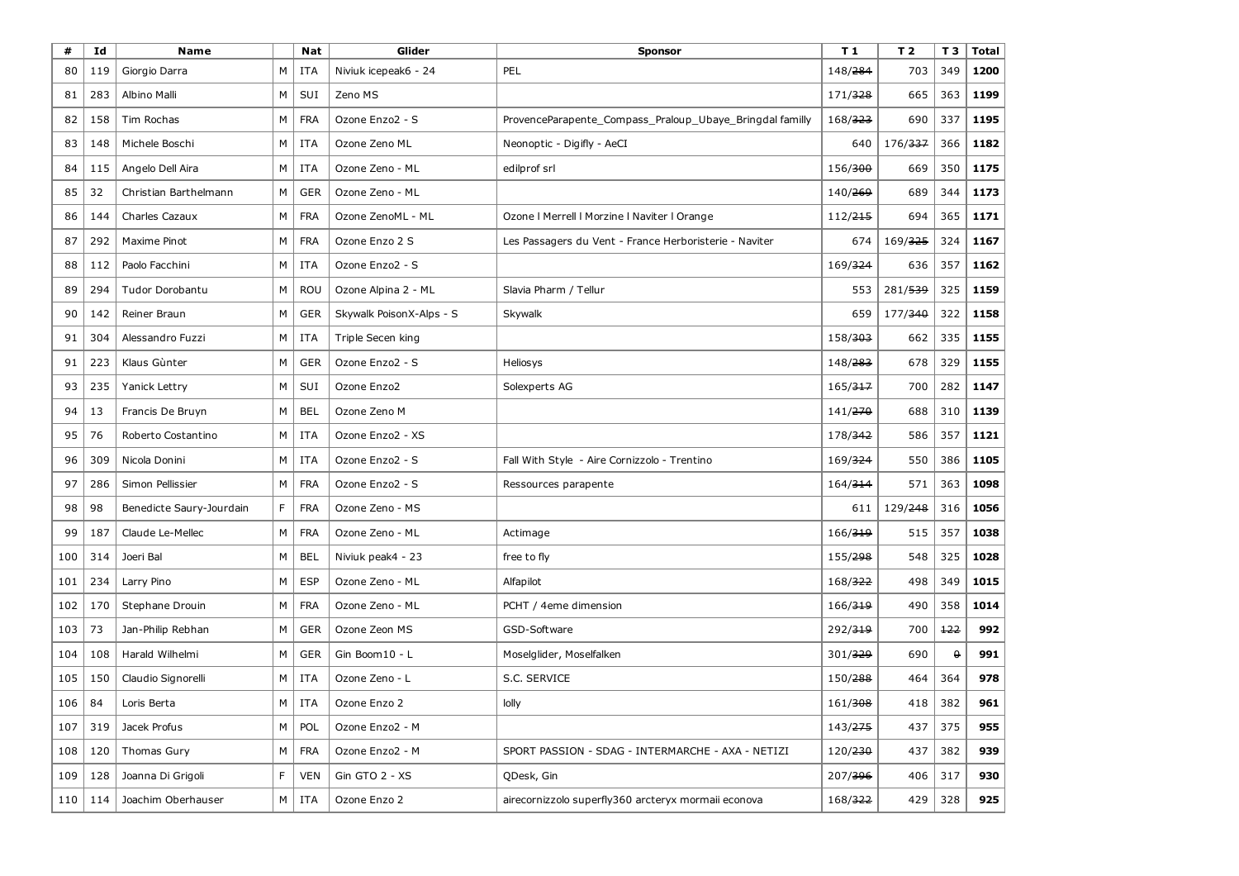| #   | Id  | <b>Name</b>              |   | <b>Nat</b> | Glider                   | <b>Sponsor</b>                                           | T1                  | T <sub>2</sub>      | T <sub>3</sub> | <b>Total</b> |
|-----|-----|--------------------------|---|------------|--------------------------|----------------------------------------------------------|---------------------|---------------------|----------------|--------------|
| 80  | 119 | Giorgio Darra            | м | ITA        | Niviuk icepeak6 - 24     | PEL                                                      | 148/284             | 703                 | 349            | 1200         |
| 81  | 283 | <b>Albino Malli</b>      | М | SUI        | Zeno MS                  |                                                          | 171/328             | 665                 | 363            | 1199         |
| 82  | 158 | Tim Rochas               | М | <b>FRA</b> | Ozone Enzo2 - S          | ProvenceParapente_Compass_Praloup_Ubaye_Bringdal familly | 168/323             | 690                 | 337            | 1195         |
| 83  | 148 | Michele Boschi           | М | ITA        | Ozone Zeno ML            | Neonoptic - Digifly - AeCI                               | 640                 | 176/ <del>337</del> | 366            | 1182         |
| 84  | 115 | Angelo Dell Aira         | м | <b>ITA</b> | Ozone Zeno - ML          | edilprof srl                                             | 156/300             | 669                 | 350            | 1175         |
| 85  | 32  | Christian Barthelmann    | М | <b>GER</b> | Ozone Zeno - ML          |                                                          | 140/ <del>269</del> | 689                 | 344            | 1173         |
| 86  | 144 | Charles Cazaux           | М | <b>FRA</b> | Ozone ZenoML - ML        | Ozone   Merrell   Morzine   Naviter   Orange             | 112/ <del>215</del> | 694                 | 365            | 1171         |
| 87  | 292 | Maxime Pinot             | М | <b>FRA</b> | Ozone Enzo 2 S           | Les Passagers du Vent - France Herboristerie - Naviter   | 674                 | 169/ <del>325</del> | 324            | 1167         |
| 88  | 112 | Paolo Facchini           | м | <b>ITA</b> | Ozone Enzo2 - S          |                                                          | 169/324             | 636                 | 357            | 1162         |
| 89  | 294 | Tudor Dorobantu          | М | <b>ROU</b> | Ozone Alpina 2 - ML      | Slavia Pharm / Tellur                                    | 553                 | 281/539             | 325            | 1159         |
| 90  | 142 | Reiner Braun             | М | <b>GER</b> | Skywalk PoisonX-Alps - S | Skywalk                                                  | 659                 | 177/340             | 322            | 1158         |
| 91  | 304 | Alessandro Fuzzi         | М | ITA        | Triple Secen king        |                                                          | 158/303             | 662                 | 335            | 1155         |
| 91  | 223 | Klaus Gùnter             | M | <b>GER</b> | Ozone Enzo2 - S          | Heliosys                                                 | 148/ <del>283</del> | 678                 | 329            | 1155         |
| 93  | 235 | Yanick Lettry            | М | SUI        | Ozone Enzo2              | Solexperts AG                                            | 165/317             | 700                 | 282            | 1147         |
| 94  | 13  | Francis De Bruyn         | М | <b>BEL</b> | Ozone Zeno M             |                                                          | 141/ <del>270</del> | 688                 | 310            | 1139         |
| 95  | 76  | Roberto Costantino       | М | ITA        | Ozone Enzo2 - XS         |                                                          | 178/342             | 586                 | 357            | 1121         |
| 96  | 309 | Nicola Donini            | м | <b>ITA</b> | Ozone Enzo2 - S          | Fall With Style - Aire Cornizzolo - Trentino             | 169/324             | 550                 | 386            | 1105         |
| 97  | 286 | Simon Pellissier         | М | <b>FRA</b> | Ozone Enzo2 - S          | Ressources parapente                                     | 164/314             | 571                 | 363            | 1098         |
| 98  | 98  | Benedicte Saury-Jourdain | F | <b>FRA</b> | Ozone Zeno - MS          |                                                          | 611                 | 129/248             | 316            | 1056         |
| 99  | 187 | Claude Le-Mellec         | М | <b>FRA</b> | Ozone Zeno - ML          | Actimage                                                 | 166/319             | 515                 | 357            | 1038         |
| 100 | 314 | Joeri Bal                | M | <b>BEL</b> | Niviuk peak4 - 23        | free to fly                                              | 155/298             | 548                 | 325            | 1028         |
| 101 | 234 | Larry Pino               | М | <b>ESP</b> | Ozone Zeno - ML          | Alfapilot                                                | 168/322             | 498                 | 349            | 1015         |
| 102 | 170 | Stephane Drouin          | М | <b>FRA</b> | Ozone Zeno - ML          | PCHT / 4eme dimension                                    | 166/319             | 490                 | 358            | 1014         |
| 103 | 73  | Jan-Philip Rebhan        | М | <b>GER</b> | Ozone Zeon MS            | GSD-Software                                             | 292/319             | 700                 | 122            | 992          |
| 104 | 108 | Harald Wilhelmi          | м | <b>GER</b> | Gin Boom10 - L           | Moselglider, Moselfalken                                 | 301/329             | 690                 | $\theta$       | 991          |
| 105 | 150 | Claudio Signorelli       | М | ITA        | Ozone Zeno - L           | S.C. SERVICE                                             | 150/288             | 464                 | 364            | 978          |
| 106 | 84  | Loris Berta              | M | <b>ITA</b> | Ozone Enzo 2             | lolly                                                    | 161/308             | 418                 | 382            | 961          |
| 107 | 319 | Jacek Profus             | М | POL        | Ozone Enzo2 - M          |                                                          | 143/275             | 437                 | 375            | 955          |
| 108 | 120 | Thomas Gury              | М | <b>FRA</b> | Ozone Enzo2 - M          | SPORT PASSION - SDAG - INTERMARCHE - AXA - NETIZI        | 120/230             | 437                 | 382            | 939          |
| 109 | 128 | Joanna Di Grigoli        | F | <b>VEN</b> | Gin GTO 2 - XS           | QDesk, Gin                                               | 207/396             | 406                 | 317            | 930          |
| 110 | 114 | Joachim Oberhauser       | м | ITA        | Ozone Enzo 2             | airecornizzolo superfly360 arcteryx mormaii econova      | 168/322             | 429                 | 328            | 925          |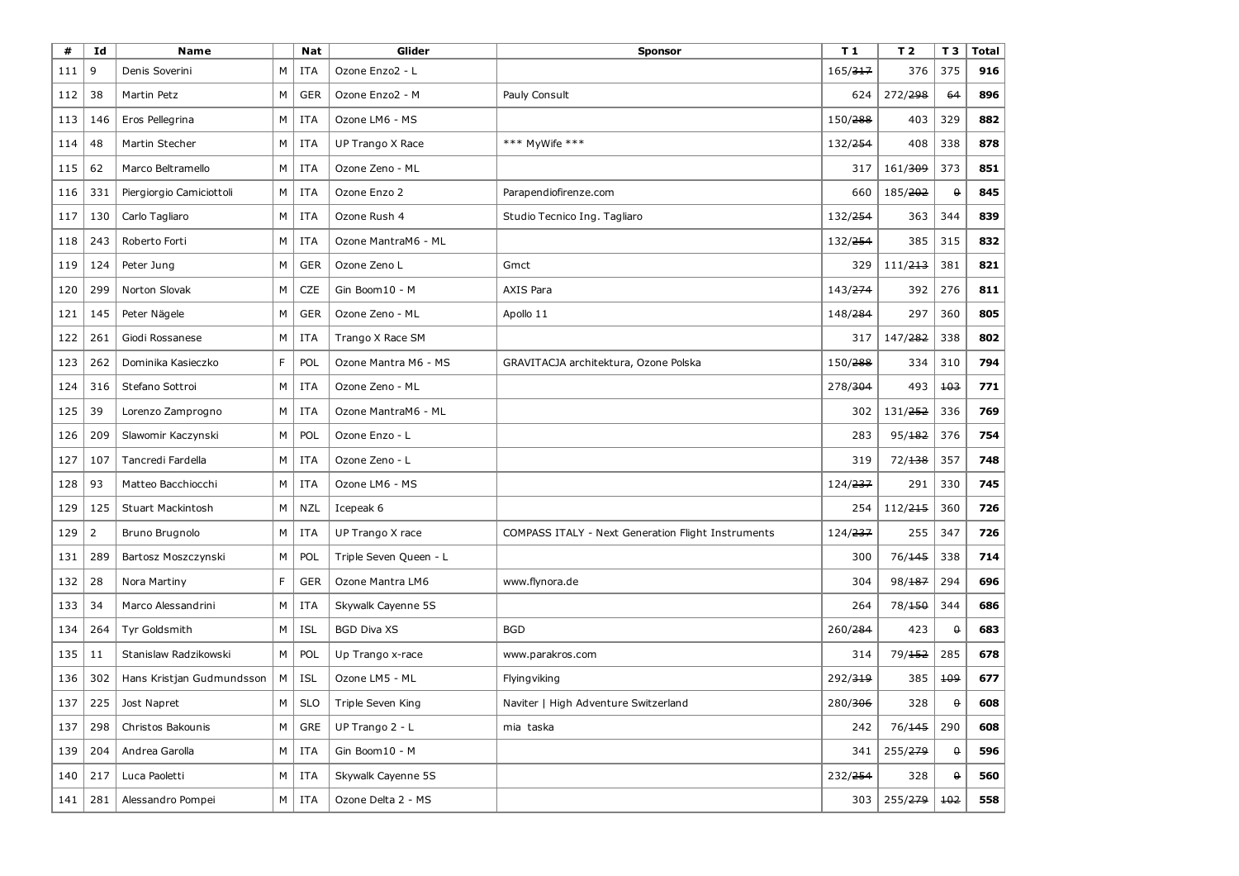| #   | Id             | <b>Name</b>               |                                                                                                            | <b>Nat</b> | Glider                  | <b>Sponsor</b>                                     | T <sub>1</sub>      | T <sub>2</sub>      | T 3      | <b>Total</b> |
|-----|----------------|---------------------------|------------------------------------------------------------------------------------------------------------|------------|-------------------------|----------------------------------------------------|---------------------|---------------------|----------|--------------|
| 111 | 9              | Denis Soverini            | м                                                                                                          | ITA        | Ozone Enzo2 - L         |                                                    | 165/ <del>317</del> | 376                 | 375      | 916          |
| 112 | 38             | Martin Petz               | М                                                                                                          | <b>GER</b> | Ozone Enzo2 - M         | Pauly Consult                                      | 624                 | 272/ <del>298</del> | 64       | 896          |
| 113 | 146            | Eros Pellegrina           | М                                                                                                          | ITA        | Ozone LM6 - MS          |                                                    | 150/288             | 403                 | 329      | 882          |
| 114 | 48             | Martin Stecher            | М                                                                                                          | ITA        | <b>UP Trango X Race</b> | *** MyWife ***                                     | 132/ <del>254</del> | 408                 | 338      | 878          |
| 115 | 62             | Marco Beltramello         | M                                                                                                          | ITA        | Ozone Zeno - ML         |                                                    | 317                 | 161/309             | 373      | 851          |
| 116 | 331            | Piergiorgio Camiciottoli  | м                                                                                                          | ITA        | Ozone Enzo 2            | Parapendiofirenze.com                              | 660                 | 185/ <del>202</del> | $\theta$ | 845          |
| 117 | 130            | Carlo Tagliaro            | м                                                                                                          | ITA        | Ozone Rush 4            | Studio Tecnico Ing. Tagliaro                       | 132/ <del>254</del> | 363                 | 344      | 839          |
| 118 | 243            | Roberto Forti             | М                                                                                                          | ITA        | Ozone MantraM6 - ML     |                                                    | 132/ <del>254</del> | 385                 | 315      | 832          |
| 119 | 124            | Peter Jung                | М                                                                                                          | <b>GER</b> | Ozone Zeno L            | Gmct                                               | 329                 | 111/ <del>213</del> | 381      | 821          |
| 120 | 299            | Norton Slovak             | М                                                                                                          | <b>CZE</b> | Gin Boom10 - M          | <b>AXIS Para</b>                                   | 143/ <del>274</del> | 392                 | 276      | 811          |
| 121 | 145            | Peter Nägele              | М                                                                                                          | <b>GER</b> | Ozone Zeno - ML         | Apollo 11                                          | 148/ <del>284</del> | 297                 | 360      | 805          |
| 122 | 261            | Giodi Rossanese           | М                                                                                                          | ITA        | Trango X Race SM        |                                                    | 317                 | 147/ <del>282</del> | 338      | 802          |
| 123 | 262            | Dominika Kasieczko        | F.                                                                                                         | POL        | Ozone Mantra M6 - MS    | GRAVITACJA architektura, Ozone Polska              | 150/ <del>288</del> | 334                 | 310      | 794          |
| 124 | 316            | Stefano Sottroi           | М                                                                                                          | ITA        | Ozone Zeno - ML         |                                                    | 278/304             | 493                 | 103      | 771          |
| 125 | 39             | Lorenzo Zamprogno         | М                                                                                                          | ITA        | Ozone MantraM6 - ML     |                                                    | 302                 | 131/ <del>252</del> | 336      | 769          |
| 126 | 209            | Slawomir Kaczynski        | М                                                                                                          | POL        | Ozone Enzo - L          |                                                    | 283                 | 95/182              | 376      | 754          |
| 127 | 107            | Tancredi Fardella         | М                                                                                                          | ITA        | Ozone Zeno - L          |                                                    | 319                 | 72/138              | 357      | 748          |
| 128 | 93             | Matteo Bacchiocchi        | М                                                                                                          | ITA        | Ozone LM6 - MS          |                                                    | 124/ <del>237</del> | 291                 | 330      | 745          |
| 129 | 125            | Stuart Mackintosh         | М                                                                                                          | <b>NZL</b> | Icepeak 6               |                                                    | 254                 | 112/215             | 360      | 726          |
| 129 | $\overline{2}$ | Bruno Brugnolo            | М                                                                                                          | ITA        | UP Trango X race        | COMPASS ITALY - Next Generation Flight Instruments | 124/ <del>237</del> | 255                 | 347      | 726          |
| 131 | 289            | Bartosz Moszczynski       | М                                                                                                          | POL        | Triple Seven Queen - L  |                                                    | 300                 | 76/ <del>145</del>  | 338      | 714          |
| 132 | 28             | Nora Martiny              | F                                                                                                          | <b>GER</b> | Ozone Mantra LM6        | www.flynora.de                                     | 304                 | 98/187              | 294      | 696          |
| 133 | 34             | Marco Alessandrini        | М                                                                                                          | ITA        | Skywalk Cayenne 5S      |                                                    | 264                 | 78/150              | 344      | 686          |
| 134 | 264            | Tyr Goldsmith             | М                                                                                                          | <b>ISL</b> | <b>BGD Diva XS</b>      | <b>BGD</b>                                         | 260/284             | 423                 | $\theta$ | 683          |
| 135 | 11             | Stanislaw Radzikowski     | M                                                                                                          | POL        | Up Trango x-race        | www.parakros.com                                   | 314                 | 79/ <del>152</del>  | 285      | 678          |
| 136 | 302            | Hans Kristjan Gudmundsson | М                                                                                                          | <b>ISL</b> | Ozone LM5 - ML          | Flyingviking                                       | 292/319             | 385                 | 109      | 677          |
| 137 | 225            | Jost Napret               | $\mathsf{M}% _{T}=\mathsf{M}_{T}\!\left( a,b\right) ,\ \mathsf{M}_{T}=\mathsf{M}_{T}\!\left( a,b\right) ,$ | SLO        | Triple Seven King       | Naviter   High Adventure Switzerland               | 280/306             | 328                 | 0        | 608          |
| 137 | 298            | Christos Bakounis         | М                                                                                                          | GRE        | UP Trango 2 - L         | mia taska                                          | 242                 | 76/ <del>145</del>  | 290      | 608          |
| 139 | 204            | Andrea Garolla            | M                                                                                                          | ITA        | Gin Boom10 - M          |                                                    | 341                 | 255/279             | $\theta$ | 596          |
| 140 | 217            | Luca Paoletti             | M                                                                                                          | ITA        | Skywalk Cayenne 5S      |                                                    | 232/254             | 328                 | $\theta$ | 560          |
| 141 | 281            | Alessandro Pompei         | $M \mid$                                                                                                   | ITA        | Ozone Delta 2 - MS      |                                                    | 303                 | 255/ <del>279</del> | $+02$    | 558          |